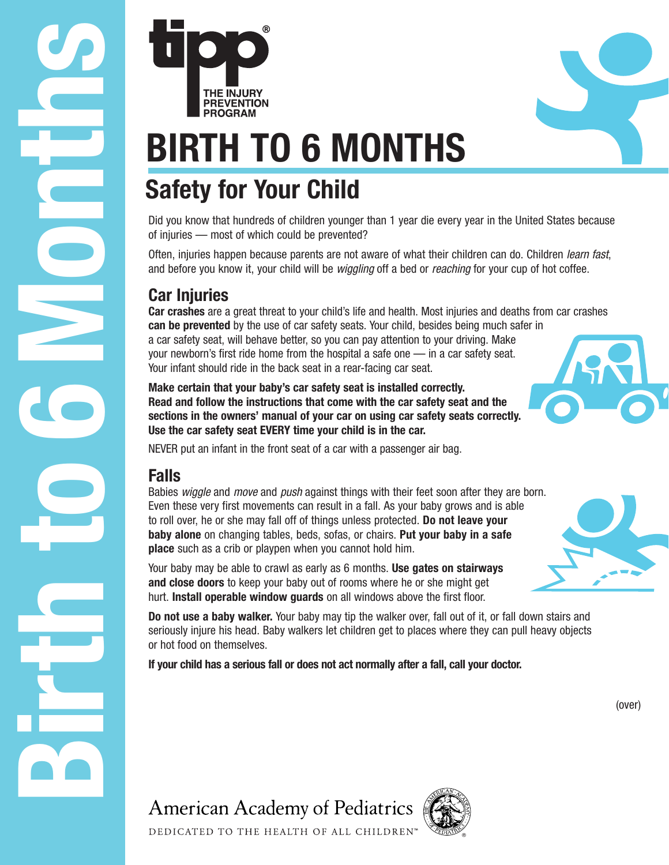Did you know that hundreds of children younger than 1 year die every year in the United States because of injuries — most of which could be prevented?

Often, injuries happen because parents are not aware of what their children can do. Children learn fast, and before you know it, your child will be wiggling off a bed or reaching for your cup of hot coffee.

## **Car Injuries**

**BIRTH TO 6 M**<br> **BIRTH TO 6 M**<br> **BIRTH TO 6 M**<br> **BIRTH TO 6 M**<br> **BIRTH TO 6 M**<br> **BIRTH TO 6 M**<br> **BIRTH TO 6 M**<br> **BIRTH TO 6 M**<br> **BIRTH TO 6 M**<br> **BIRTH TO 6 M**<br> **BIRTH TO 6 M**<br> **BIRTH TO 6 M**<br> **BIRTH BIRTH**<br> **DIRES are ab Car crashes** are a great threat to your child's life and health. Most injuries and deaths from car crashes **can be prevented** by the use of car safety seats. Your child, besides being much safer in a car safety seat, will behave better, so you can pay attention to your driving. Make your newborn's first ride home from the hospital a safe one — in a car safety seat. Your infant should ride in the back seat in a rear-facing car seat.

**Make certain that your baby's car safety seat is installed correctly. Read and follow the instructions that come with the car safety seat and the sections in the owners' manual of your car on using car safety seats correctly. Use the car safety seat EVERY time your child is in the car.**

NEVER put an infant in the front seat of a car with a passenger air bag.

**BIRTH TO 6 MONTHS**

### **Falls**

Babies wiggle and move and push against things with their feet soon after they are born. Even these very first movements can result in a fall. As your baby grows and is able to roll over, he or she may fall off of things unless protected. **Do not leave your baby alone** on changing tables, beds, sofas, or chairs. **Put your baby in a safe place** such as a crib or playpen when you cannot hold him.

Your baby may be able to crawl as early as 6 months. **Use gates on stairways and close doors** to keep your baby out of rooms where he or she might get hurt. **Install operable window guards** on all windows above the first floor.

**Do not use a baby walker.** Your baby may tip the walker over, fall out of it, or fall down stairs and seriously injure his head. Baby walkers let children get to places where they can pull heavy objects or hot food on themselves.

**If your child has a serious fall or does not act normally after a fall, call your doctor.**

DEDICATED TO THE HEALTH OF ALL CHILDREN'





(over)